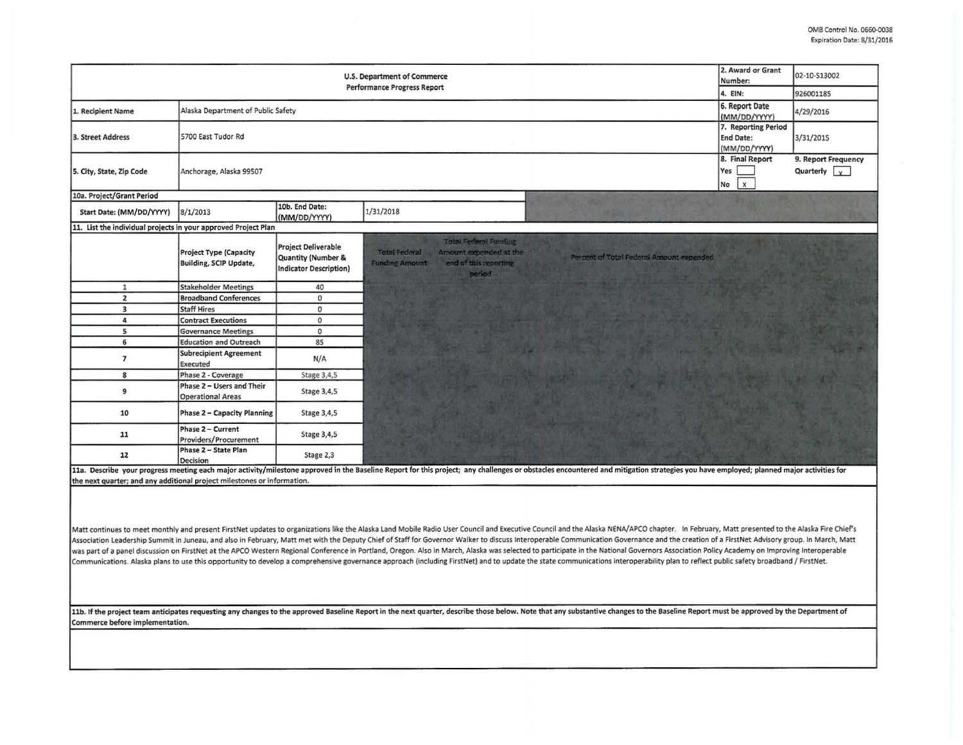| 2. Award or Grant<br><b>U.S. Department of Commerce</b><br>Number:<br><b>Performance Progress Report</b><br>4. EIN:                                                                                                                                                                                                                                                                                                                                                                                                                                                                                                                                                                                                                                                                                                                                                                                                                 |                                                                |                                                                                       |                                                                                                                                                                                                                                |                                                     | 02-10-S13002                                         |  |  |
|-------------------------------------------------------------------------------------------------------------------------------------------------------------------------------------------------------------------------------------------------------------------------------------------------------------------------------------------------------------------------------------------------------------------------------------------------------------------------------------------------------------------------------------------------------------------------------------------------------------------------------------------------------------------------------------------------------------------------------------------------------------------------------------------------------------------------------------------------------------------------------------------------------------------------------------|----------------------------------------------------------------|---------------------------------------------------------------------------------------|--------------------------------------------------------------------------------------------------------------------------------------------------------------------------------------------------------------------------------|-----------------------------------------------------|------------------------------------------------------|--|--|
|                                                                                                                                                                                                                                                                                                                                                                                                                                                                                                                                                                                                                                                                                                                                                                                                                                                                                                                                     |                                                                |                                                                                       |                                                                                                                                                                                                                                |                                                     | 926001185                                            |  |  |
| 1. Recipient Name                                                                                                                                                                                                                                                                                                                                                                                                                                                                                                                                                                                                                                                                                                                                                                                                                                                                                                                   | Alaska Department of Public Safety                             |                                                                                       |                                                                                                                                                                                                                                | 6. Report Date<br>(MM/DD/YYYY)                      | 4/29/2016                                            |  |  |
| 3. Street Address                                                                                                                                                                                                                                                                                                                                                                                                                                                                                                                                                                                                                                                                                                                                                                                                                                                                                                                   | 5700 East Tudor Rd                                             | 7. Reporting Period<br><b>End Date:</b><br>(MM/DD/YYYY)                               | 3/31/2015                                                                                                                                                                                                                      |                                                     |                                                      |  |  |
| 5. City, State, Zip Code                                                                                                                                                                                                                                                                                                                                                                                                                                                                                                                                                                                                                                                                                                                                                                                                                                                                                                            | Anchorage, Alaska 99507                                        |                                                                                       |                                                                                                                                                                                                                                | 8. Final Report<br>Yes<br>$\mathsf{x}$<br><b>No</b> | 9. Report Frequency<br>Quarterly $\vert \cdot \vert$ |  |  |
| 10a. Project/Grant Period                                                                                                                                                                                                                                                                                                                                                                                                                                                                                                                                                                                                                                                                                                                                                                                                                                                                                                           |                                                                |                                                                                       |                                                                                                                                                                                                                                |                                                     |                                                      |  |  |
| Start Date: (MM/DD/YYYY)                                                                                                                                                                                                                                                                                                                                                                                                                                                                                                                                                                                                                                                                                                                                                                                                                                                                                                            | 8/1/2013                                                       | 10b. End Date:<br>(MM/DD/YYYY)                                                        | 1/31/2018                                                                                                                                                                                                                      |                                                     |                                                      |  |  |
| 11. List the individual projects in your approved Project Plan                                                                                                                                                                                                                                                                                                                                                                                                                                                                                                                                                                                                                                                                                                                                                                                                                                                                      |                                                                |                                                                                       |                                                                                                                                                                                                                                |                                                     |                                                      |  |  |
|                                                                                                                                                                                                                                                                                                                                                                                                                                                                                                                                                                                                                                                                                                                                                                                                                                                                                                                                     | <b>Project Type (Capacity</b><br><b>Building, SCIP Update,</b> | <b>Project Deliverable</b><br><b>Quantity (Number &amp;</b><br>Indicator Description) | <b>Total Federal Funding</b><br><b>Total Federal</b><br>Amount expended at the<br>Percent of Total Federal Amount expended<br>end of this reporting<br><b>Funding Amount</b><br>period                                         |                                                     |                                                      |  |  |
| $\mathbf{1}$                                                                                                                                                                                                                                                                                                                                                                                                                                                                                                                                                                                                                                                                                                                                                                                                                                                                                                                        | <b>Stakeholder Meetings</b>                                    | 40                                                                                    |                                                                                                                                                                                                                                |                                                     |                                                      |  |  |
| $\overline{2}$                                                                                                                                                                                                                                                                                                                                                                                                                                                                                                                                                                                                                                                                                                                                                                                                                                                                                                                      | <b>Broadband Conferences</b>                                   | $\mathbf 0$                                                                           |                                                                                                                                                                                                                                |                                                     |                                                      |  |  |
| 3<br>4                                                                                                                                                                                                                                                                                                                                                                                                                                                                                                                                                                                                                                                                                                                                                                                                                                                                                                                              | <b>Staff Hires</b>                                             | $\circ$<br>$\circ$                                                                    |                                                                                                                                                                                                                                |                                                     |                                                      |  |  |
| 5                                                                                                                                                                                                                                                                                                                                                                                                                                                                                                                                                                                                                                                                                                                                                                                                                                                                                                                                   | <b>Contract Executions</b><br><b>Governance Meetings</b>       | $\Omega$                                                                              |                                                                                                                                                                                                                                |                                                     |                                                      |  |  |
| 6                                                                                                                                                                                                                                                                                                                                                                                                                                                                                                                                                                                                                                                                                                                                                                                                                                                                                                                                   | <b>Education and Outreach</b>                                  | 85                                                                                    |                                                                                                                                                                                                                                |                                                     |                                                      |  |  |
| $\overline{7}$                                                                                                                                                                                                                                                                                                                                                                                                                                                                                                                                                                                                                                                                                                                                                                                                                                                                                                                      | <b>Subrecipient Agreement</b><br>Executed                      | N/A                                                                                   |                                                                                                                                                                                                                                |                                                     |                                                      |  |  |
| 8                                                                                                                                                                                                                                                                                                                                                                                                                                                                                                                                                                                                                                                                                                                                                                                                                                                                                                                                   | Phase 2 - Coverage                                             | Stage 3,4,5                                                                           |                                                                                                                                                                                                                                |                                                     |                                                      |  |  |
| 9                                                                                                                                                                                                                                                                                                                                                                                                                                                                                                                                                                                                                                                                                                                                                                                                                                                                                                                                   | Phase 2 - Users and Their<br><b>Operational Areas</b>          | Stage 3,4,5                                                                           |                                                                                                                                                                                                                                |                                                     |                                                      |  |  |
| 10                                                                                                                                                                                                                                                                                                                                                                                                                                                                                                                                                                                                                                                                                                                                                                                                                                                                                                                                  | <b>Phase 2 - Capacity Planning</b>                             | Stage 3,4,5                                                                           |                                                                                                                                                                                                                                |                                                     |                                                      |  |  |
| 11                                                                                                                                                                                                                                                                                                                                                                                                                                                                                                                                                                                                                                                                                                                                                                                                                                                                                                                                  | Phase 2 - Current<br>Providers/Procurement                     | Stage 3,4,5                                                                           |                                                                                                                                                                                                                                |                                                     |                                                      |  |  |
| 12                                                                                                                                                                                                                                                                                                                                                                                                                                                                                                                                                                                                                                                                                                                                                                                                                                                                                                                                  | Phase 2 - State Plan<br>Decision                               | Stage 2,3                                                                             |                                                                                                                                                                                                                                |                                                     |                                                      |  |  |
| the next quarter; and any additional project milestones or information.                                                                                                                                                                                                                                                                                                                                                                                                                                                                                                                                                                                                                                                                                                                                                                                                                                                             |                                                                |                                                                                       | 11a. Describe your progress meeting each major activity/milestone approved in the Baseline Report for this project; any challenges or obstacles encountered and mitigation strategies you have employed; planned major activit |                                                     |                                                      |  |  |
| Matt continues to meet monthly and present FirstNet updates to organizations like the Alaska Land Mobile Radio User Council and Executive Council and the Alaska NENA/APCO chapter. In February, Matt presented to the Alaska<br>Association Leadership Summit in Juneau, and also in February, Matt met with the Deputy Chief of Staff for Governor Walker to discuss Interoperable Communication Governance and the creation of a FirstNet Advisory group. In<br>was part of a panel discussion on FirstNet at the APCO Western Regional Conference in Portland, Oregon. Also in March, Alaska was selected to participate in the National Governors Association Policy Academy on Improving In<br>Communications. Alaska plans to use this opportunity to develop a comprehensive governance approach (including FirstNet) and to update the state communications interoperability plan to reflect public safety broadband / Fir |                                                                |                                                                                       |                                                                                                                                                                                                                                |                                                     |                                                      |  |  |
| 11b. If the project team anticipates requesting any changes to the approved Baseline Report in the next quarter, describe those below. Note that any substantive changes to the Baseline Report must be approved by the Depart<br>Commerce before implementation.                                                                                                                                                                                                                                                                                                                                                                                                                                                                                                                                                                                                                                                                   |                                                                |                                                                                       |                                                                                                                                                                                                                                |                                                     |                                                      |  |  |
|                                                                                                                                                                                                                                                                                                                                                                                                                                                                                                                                                                                                                                                                                                                                                                                                                                                                                                                                     |                                                                |                                                                                       |                                                                                                                                                                                                                                |                                                     |                                                      |  |  |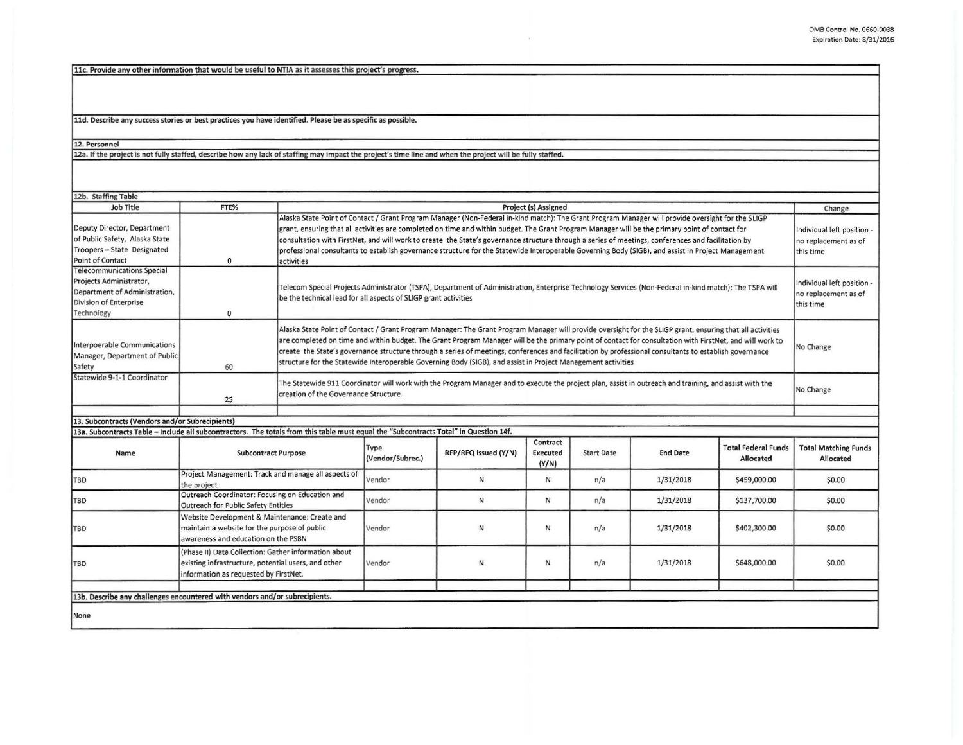11c. Provide any other information that would be useful to NTIA as it assesses this project's progress.

11d. Describe any success stories or best practices you have identified. Please be as specific as possible.

12. Personnel<br>12a. If the project is not fully staffed, describe how any lack of staffing may impact the project's time line and when the project will be fully staffed.

| 12b. Staffing Table                                                                                                                   |                                                                                                                                                      |                                                                                                                                                                                                                                                                                                                                                                                                                                                                                                                                                                                                                                |                          |                      |                                      |                   |                 |                                                                 |                                                                 |
|---------------------------------------------------------------------------------------------------------------------------------------|------------------------------------------------------------------------------------------------------------------------------------------------------|--------------------------------------------------------------------------------------------------------------------------------------------------------------------------------------------------------------------------------------------------------------------------------------------------------------------------------------------------------------------------------------------------------------------------------------------------------------------------------------------------------------------------------------------------------------------------------------------------------------------------------|--------------------------|----------------------|--------------------------------------|-------------------|-----------------|-----------------------------------------------------------------|-----------------------------------------------------------------|
| Job Title                                                                                                                             | FTE%                                                                                                                                                 | Project (s) Assigned                                                                                                                                                                                                                                                                                                                                                                                                                                                                                                                                                                                                           |                          |                      |                                      |                   |                 | Change                                                          |                                                                 |
| Deputy Director, Department<br>of Public Safety, Alaska State<br>Troopers - State Designated<br>Point of Contact                      | $\Omega$                                                                                                                                             | Alaska State Point of Contact / Grant Program Manager (Non-Federal in-kind match): The Grant Program Manager will provide oversight for the SLIGP<br>grant, ensuring that all activities are completed on time and within budget. The Grant Program Manager will be the primary point of contact for<br>consultation with FirstNet, and will work to create the State's governance structure through a series of meetings, conferences and facilitation by<br>professional consultants to establish governance structure for the Statewide Interoperable Governing Body (SIGB), and assist in Project Management<br>activities |                          |                      |                                      |                   |                 | Individual left position -<br>no replacement as of<br>this time |                                                                 |
| <b>Telecommunications Special</b><br>Projects Administrator,<br>Department of Administration,<br>Division of Enterprise<br>Technology | $\mathbf{0}$                                                                                                                                         | Telecom Special Projects Administrator (TSPA), Department of Administration, Enterprise Technology Services (Non-Federal in-kind match): The TSPA will<br>be the technical lead for all aspects of SLIGP grant activities                                                                                                                                                                                                                                                                                                                                                                                                      |                          |                      |                                      |                   |                 |                                                                 | Individual left position -<br>no replacement as of<br>this time |
| Interpoerable Communications<br>Manager, Department of Public<br>Safety                                                               | 60                                                                                                                                                   | Alaska State Point of Contact / Grant Program Manager: The Grant Program Manager will provide oversight for the SLIGP grant, ensuring that all activities<br>are completed on time and within budget. The Grant Program Manager will be the primary point of contact for consultation with FirstNet, and will work to<br>create the State's governance structure through a series of meetings, conferences and facilitation by professional consultants to establish governance<br>structure for the Statewide Interoperable Governing Body (SIGB), and assist in Project Management activities                                |                          |                      |                                      |                   |                 |                                                                 | No Change                                                       |
| Statewide 9-1-1 Coordinator                                                                                                           | 25                                                                                                                                                   | The Statewide 911 Coordinator will work with the Program Manager and to execute the project plan, assist in outreach and training, and assist with the<br>creation of the Governance Structure.                                                                                                                                                                                                                                                                                                                                                                                                                                |                          |                      |                                      |                   |                 | No Change                                                       |                                                                 |
|                                                                                                                                       |                                                                                                                                                      |                                                                                                                                                                                                                                                                                                                                                                                                                                                                                                                                                                                                                                |                          |                      |                                      |                   |                 |                                                                 |                                                                 |
| 13. Subcontracts (Vendors and/or Subrecipients)                                                                                       |                                                                                                                                                      |                                                                                                                                                                                                                                                                                                                                                                                                                                                                                                                                                                                                                                |                          |                      |                                      |                   |                 |                                                                 |                                                                 |
| 13a. Subcontracts Table - Include all subcontractors. The totals from this table must equal the "Subcontracts Total" in Question 14f. |                                                                                                                                                      |                                                                                                                                                                                                                                                                                                                                                                                                                                                                                                                                                                                                                                |                          |                      |                                      |                   |                 |                                                                 |                                                                 |
| Name                                                                                                                                  | <b>Subcontract Purpose</b>                                                                                                                           |                                                                                                                                                                                                                                                                                                                                                                                                                                                                                                                                                                                                                                | Type<br>(Vendor/Subrec.) | RFP/RFQ Issued (Y/N) | Contract<br><b>Executed</b><br>(Y/N) | <b>Start Date</b> | <b>End Date</b> | <b>Total Federal Funds</b><br>Allocated                         | <b>Total Matching Funds</b><br>Allocated                        |
| TBD                                                                                                                                   | Project Management: Track and manage all aspects of<br>the project                                                                                   |                                                                                                                                                                                                                                                                                                                                                                                                                                                                                                                                                                                                                                | Vendor                   | N                    | N                                    | n/a               | 1/31/2018       | \$459,000.00                                                    | \$0.00                                                          |
| <b>TBD</b>                                                                                                                            | Outreach Coordinator: Focusing on Education and<br>Outreach for Public Safety Entities                                                               |                                                                                                                                                                                                                                                                                                                                                                                                                                                                                                                                                                                                                                | Vendor                   | N                    | N                                    | n/a               | 1/31/2018       | \$137,700.00                                                    | \$0.00                                                          |
| TBD                                                                                                                                   | Website Development & Maintenance: Create and<br>maintain a website for the purpose of public<br>awareness and education on the PSBN                 |                                                                                                                                                                                                                                                                                                                                                                                                                                                                                                                                                                                                                                | Vendor                   | N                    | N                                    | n/a               | 1/31/2018       | \$402,300.00                                                    | \$0.00                                                          |
| TBD                                                                                                                                   | (Phase II) Data Collection: Gather information about<br>existing infrastructure, potential users, and other<br>information as requested by FirstNet. |                                                                                                                                                                                                                                                                                                                                                                                                                                                                                                                                                                                                                                | Vendor                   | N                    | N                                    | n/a               | 1/31/2018       | \$648,000.00                                                    | \$0.00                                                          |
|                                                                                                                                       |                                                                                                                                                      |                                                                                                                                                                                                                                                                                                                                                                                                                                                                                                                                                                                                                                |                          |                      |                                      |                   |                 |                                                                 |                                                                 |
| 13b. Describe any challenges encountered with vendors and/or subrecipients.                                                           |                                                                                                                                                      |                                                                                                                                                                                                                                                                                                                                                                                                                                                                                                                                                                                                                                |                          |                      |                                      |                   |                 |                                                                 |                                                                 |
| None                                                                                                                                  |                                                                                                                                                      |                                                                                                                                                                                                                                                                                                                                                                                                                                                                                                                                                                                                                                |                          |                      |                                      |                   |                 |                                                                 |                                                                 |